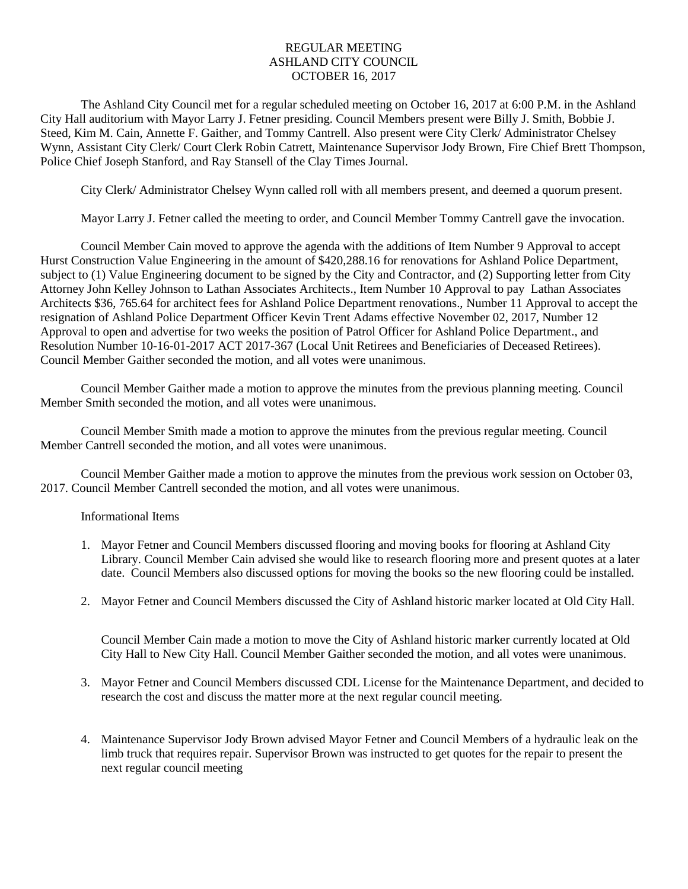## REGULAR MEETING ASHLAND CITY COUNCIL OCTOBER 16, 2017

The Ashland City Council met for a regular scheduled meeting on October 16, 2017 at 6:00 P.M. in the Ashland City Hall auditorium with Mayor Larry J. Fetner presiding. Council Members present were Billy J. Smith, Bobbie J. Steed, Kim M. Cain, Annette F. Gaither, and Tommy Cantrell. Also present were City Clerk/ Administrator Chelsey Wynn, Assistant City Clerk/ Court Clerk Robin Catrett, Maintenance Supervisor Jody Brown, Fire Chief Brett Thompson, Police Chief Joseph Stanford, and Ray Stansell of the Clay Times Journal.

City Clerk/ Administrator Chelsey Wynn called roll with all members present, and deemed a quorum present.

Mayor Larry J. Fetner called the meeting to order, and Council Member Tommy Cantrell gave the invocation.

Council Member Cain moved to approve the agenda with the additions of Item Number 9 Approval to accept Hurst Construction Value Engineering in the amount of \$420,288.16 for renovations for Ashland Police Department, subject to (1) Value Engineering document to be signed by the City and Contractor, and (2) Supporting letter from City Attorney John Kelley Johnson to Lathan Associates Architects., Item Number 10 Approval to pay Lathan Associates Architects \$36, 765.64 for architect fees for Ashland Police Department renovations., Number 11 Approval to accept the resignation of Ashland Police Department Officer Kevin Trent Adams effective November 02, 2017, Number 12 Approval to open and advertise for two weeks the position of Patrol Officer for Ashland Police Department., and Resolution Number 10-16-01-2017 ACT 2017-367 (Local Unit Retirees and Beneficiaries of Deceased Retirees). Council Member Gaither seconded the motion, and all votes were unanimous.

Council Member Gaither made a motion to approve the minutes from the previous planning meeting. Council Member Smith seconded the motion, and all votes were unanimous.

Council Member Smith made a motion to approve the minutes from the previous regular meeting. Council Member Cantrell seconded the motion, and all votes were unanimous.

Council Member Gaither made a motion to approve the minutes from the previous work session on October 03, 2017. Council Member Cantrell seconded the motion, and all votes were unanimous.

Informational Items

- 1. Mayor Fetner and Council Members discussed flooring and moving books for flooring at Ashland City Library. Council Member Cain advised she would like to research flooring more and present quotes at a later date. Council Members also discussed options for moving the books so the new flooring could be installed.
- 2. Mayor Fetner and Council Members discussed the City of Ashland historic marker located at Old City Hall.

Council Member Cain made a motion to move the City of Ashland historic marker currently located at Old City Hall to New City Hall. Council Member Gaither seconded the motion, and all votes were unanimous.

- 3. Mayor Fetner and Council Members discussed CDL License for the Maintenance Department, and decided to research the cost and discuss the matter more at the next regular council meeting.
- 4. Maintenance Supervisor Jody Brown advised Mayor Fetner and Council Members of a hydraulic leak on the limb truck that requires repair. Supervisor Brown was instructed to get quotes for the repair to present the next regular council meeting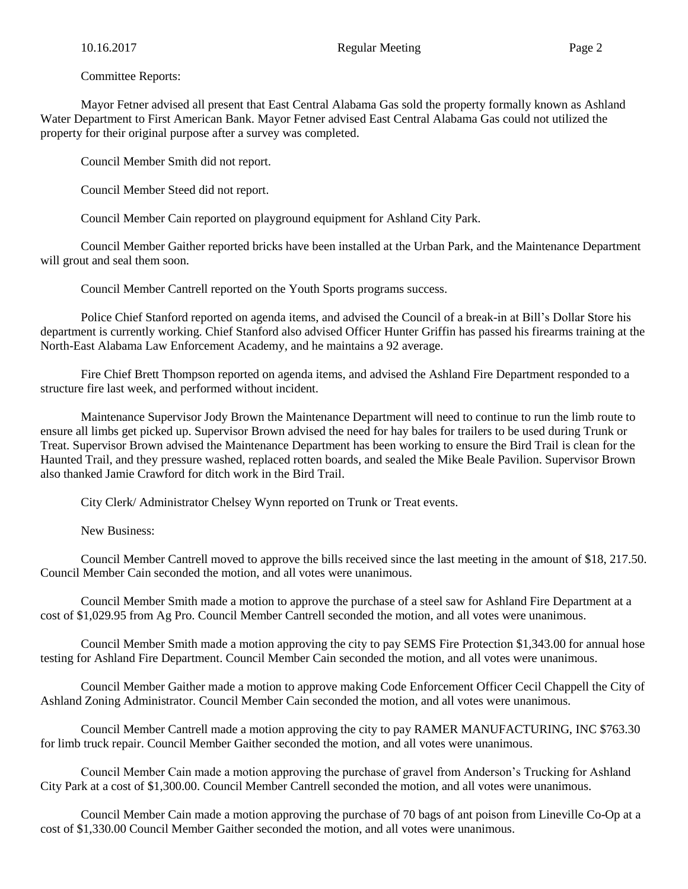Committee Reports:

Mayor Fetner advised all present that East Central Alabama Gas sold the property formally known as Ashland Water Department to First American Bank. Mayor Fetner advised East Central Alabama Gas could not utilized the property for their original purpose after a survey was completed.

Council Member Smith did not report.

Council Member Steed did not report.

Council Member Cain reported on playground equipment for Ashland City Park.

Council Member Gaither reported bricks have been installed at the Urban Park, and the Maintenance Department will grout and seal them soon.

Council Member Cantrell reported on the Youth Sports programs success.

Police Chief Stanford reported on agenda items, and advised the Council of a break-in at Bill's Dollar Store his department is currently working. Chief Stanford also advised Officer Hunter Griffin has passed his firearms training at the North-East Alabama Law Enforcement Academy, and he maintains a 92 average.

Fire Chief Brett Thompson reported on agenda items, and advised the Ashland Fire Department responded to a structure fire last week, and performed without incident.

Maintenance Supervisor Jody Brown the Maintenance Department will need to continue to run the limb route to ensure all limbs get picked up. Supervisor Brown advised the need for hay bales for trailers to be used during Trunk or Treat. Supervisor Brown advised the Maintenance Department has been working to ensure the Bird Trail is clean for the Haunted Trail, and they pressure washed, replaced rotten boards, and sealed the Mike Beale Pavilion. Supervisor Brown also thanked Jamie Crawford for ditch work in the Bird Trail.

City Clerk/ Administrator Chelsey Wynn reported on Trunk or Treat events.

New Business:

Council Member Cantrell moved to approve the bills received since the last meeting in the amount of \$18, 217.50. Council Member Cain seconded the motion, and all votes were unanimous.

Council Member Smith made a motion to approve the purchase of a steel saw for Ashland Fire Department at a cost of \$1,029.95 from Ag Pro. Council Member Cantrell seconded the motion, and all votes were unanimous.

Council Member Smith made a motion approving the city to pay SEMS Fire Protection \$1,343.00 for annual hose testing for Ashland Fire Department. Council Member Cain seconded the motion, and all votes were unanimous.

Council Member Gaither made a motion to approve making Code Enforcement Officer Cecil Chappell the City of Ashland Zoning Administrator. Council Member Cain seconded the motion, and all votes were unanimous.

Council Member Cantrell made a motion approving the city to pay RAMER MANUFACTURING, INC \$763.30 for limb truck repair. Council Member Gaither seconded the motion, and all votes were unanimous.

Council Member Cain made a motion approving the purchase of gravel from Anderson's Trucking for Ashland City Park at a cost of \$1,300.00. Council Member Cantrell seconded the motion, and all votes were unanimous.

Council Member Cain made a motion approving the purchase of 70 bags of ant poison from Lineville Co-Op at a cost of \$1,330.00 Council Member Gaither seconded the motion, and all votes were unanimous.